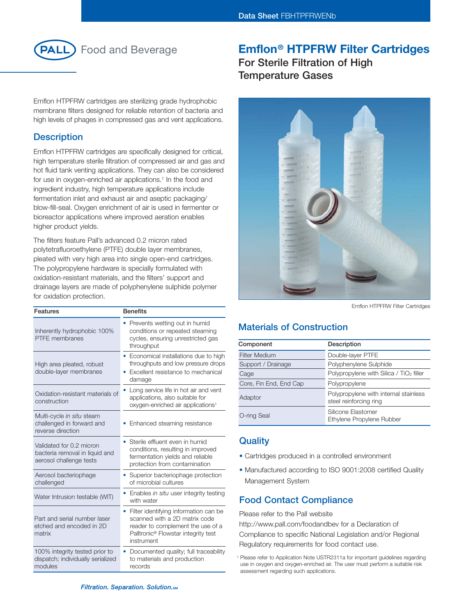

# **Emflon® HTPFRW Filter Cartridges**

Emflon HTPFRW cartridges are sterilizing grade hydrophobic membrane filters designed for reliable retention of bacteria and high levels of phages in compressed gas and vent applications.

### **Description**

Emflon HTPFRW cartridges are specifically designed for critical, high temperature sterile filtration of compressed air and gas and hot fluid tank venting applications. They can also be considered for use in oxygen-enriched air applications.<sup>1</sup> In the food and ingredient industry, high temperature applications include fermentation inlet and exhaust air and aseptic packaging/ blow-fill-seal. Oxygen enrichment of air is used in fermenter or bioreactor applications where improved aeration enables higher product yields.

The filters feature Pall's advanced 0.2 micron rated polytetrafluoroethylene (PTFE) double layer membranes, pleated with very high area into single open-end cartridges. The polypropylene hardware is specially formulated with oxidation-resistant materials, and the filters' support and drainage layers are made of polyphenylene sulphide polymer for oxidation protection.

| Features                                                                              | <b>Benefits</b>                                                                                                                                                              |                                                                                                                                                                                                         | Emflon HTPFRW Filter Cartridges                                                                                                                                            |
|---------------------------------------------------------------------------------------|------------------------------------------------------------------------------------------------------------------------------------------------------------------------------|---------------------------------------------------------------------------------------------------------------------------------------------------------------------------------------------------------|----------------------------------------------------------------------------------------------------------------------------------------------------------------------------|
| Inherently hydrophobic 100%<br><b>PTFE</b> membranes                                  | • Prevents wetting out in humid<br>conditions or repeated steaming<br>cycles, ensuring unrestricted gas                                                                      | <b>Materials of Construction</b>                                                                                                                                                                        |                                                                                                                                                                            |
|                                                                                       | throughput                                                                                                                                                                   | Component                                                                                                                                                                                               | Description                                                                                                                                                                |
| High area pleated, robust                                                             | • Economical installations due to high<br>throughputs and low pressure drops                                                                                                 | Filter Medium<br>Support / Drainage                                                                                                                                                                     | Double-layer PTFE<br>Polyphenylene Sulphide                                                                                                                                |
| double-layer membranes                                                                | • Excellent resistance to mechanical                                                                                                                                         | Cage                                                                                                                                                                                                    | Polypropylene with Silica / TiO <sub>2</sub> filler                                                                                                                        |
|                                                                                       | damage                                                                                                                                                                       | Core, Fin End, End Cap                                                                                                                                                                                  | Polypropylene                                                                                                                                                              |
| Oxidation-resistant materials of<br>construction                                      | • Long service life in hot air and vent<br>applications, also suitable for<br>oxygen-enriched air applications <sup>1</sup>                                                  | Adaptor                                                                                                                                                                                                 | Polypropylene with internal stainless<br>steel reinforcing ring                                                                                                            |
| Multi-cycle in situ steam<br>challenged in forward and                                | • Enhanced steaming resistance                                                                                                                                               | O-ring Seal                                                                                                                                                                                             | Silicone Elastomer<br>Ethylene Propylene Rubber                                                                                                                            |
| reverse direction                                                                     |                                                                                                                                                                              |                                                                                                                                                                                                         |                                                                                                                                                                            |
| Validated for 0.2 micron<br>bacteria removal in liquid and<br>aerosol challenge tests | • Sterile effluent even in humid                                                                                                                                             | <b>Quality</b>                                                                                                                                                                                          |                                                                                                                                                                            |
|                                                                                       | conditions, resulting in improved<br>fermentation yields and reliable<br>protection from contamination                                                                       | • Cartridges produced in a controlled environment                                                                                                                                                       |                                                                                                                                                                            |
| Aerosol bacteriophage<br>challenged                                                   | • Superior bacteriophage protection<br>of microbial cultures                                                                                                                 | • Manufactured according to ISO 9001:2008 certified Quality<br>Management System                                                                                                                        |                                                                                                                                                                            |
| Water Intrusion testable (WIT)                                                        | • Enables in situ user integrity testing<br>with water                                                                                                                       | <b>Food Contact Compliance</b>                                                                                                                                                                          |                                                                                                                                                                            |
| Part and serial number laser<br>etched and encoded in 2D<br>matrix                    | Filter identifying information can be<br>scanned with a 2D matrix code<br>reader to complement the use of a<br>Palltronic <sup>®</sup> Flowstar integrity test<br>instrument | Please refer to the Pall website<br>http://www.pall.com/foodandbev for a Declaration of<br>Compliance to specific National Legislation and/or Regional<br>Regulatory requirements for food contact use. |                                                                                                                                                                            |
| 100% integrity tested prior to<br>dispatch; individually serialized<br>modules        | Documented quality; full traceability<br>to materials and production<br>records                                                                                              | assessment regarding such applications.                                                                                                                                                                 | <sup>1</sup> Please refer to Application Note USTR2311a for important guidelines regarding<br>use in oxygen and oxygen-enriched air. The user must perform a suitable risk |

**For Sterile Filtration of High Temperature Gases**



# **Materials of Construction**

| Component              | Description                                                     |
|------------------------|-----------------------------------------------------------------|
| <b>Filter Medium</b>   | Double-layer PTFE                                               |
| Support / Drainage     | Polyphenylene Sulphide                                          |
| Cage                   | Polypropylene with Silica / TiO <sub>2</sub> filler             |
| Core, Fin End, End Cap | Polypropylene                                                   |
| Adaptor                | Polypropylene with internal stainless<br>steel reinforcing ring |
| O-ring Seal            | Silicone Elastomer<br>Ethylene Propylene Rubber                 |

## **Quality**

- Cartridges produced in a controlled environment
- Manufactured according to ISO 9001:2008 certified Quality Management System

# **Food Contact Compliance**

<sup>&</sup>lt;sup>1</sup> Please refer to Application Note USTR2311a for important guidelines regarding use in oxygen and oxygen-enriched air. The user must perform a suitable risk assessment regarding such applications.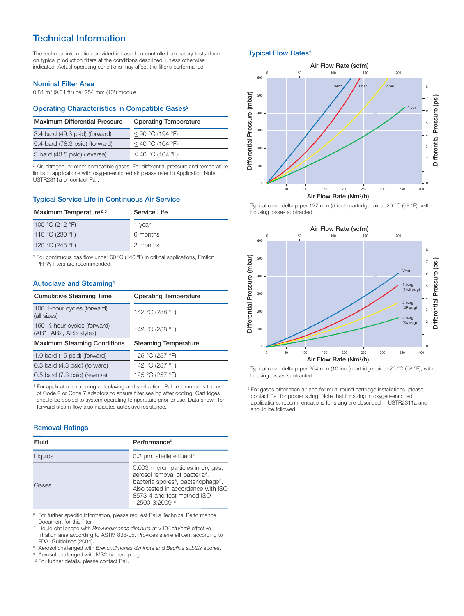# **Technical Information**

The technical information provided is based on controlled laboratory tests done on typical production filters at the conditions described, unless otherwise indicated. Actual operating conditions may affect the filter's performance.

#### **Nominal Filter Area**

0.84 m<sup>2</sup> (9.04 ft2) per 254 mm (10") module

### **Operating Characteristics in Compatible Gases2**

| <b>Maximum Differential Pressure</b> | <b>Operating Temperature</b> |  |
|--------------------------------------|------------------------------|--|
| 3.4 bard (49.3 psid) (forward)       | $<$ 90 °C (194 °F)           |  |
| 5.4 bard (78.3 psid) (forward)       | $<$ 40 °C (104 °F)           |  |
| 3 bard (43.5 psid) (reverse)         | $<$ 40 °C (104 °F)           |  |

<sup>2</sup> Air, nitrogen, or other compatible gases. For differential pressure and temperature limits in applications with oxygen-enriched air please refer to Application Note USTR2311a or contact Pall.

### **Typical Service Life in Continuous Air Service**

| Maximum Temperature <sup>2,3</sup> | Service Life |  |
|------------------------------------|--------------|--|
| 100 °C (212 °F)                    | 1 year       |  |
| 110 °C (230 °F)                    | 6 months     |  |
| 120 °C (248 °F)                    | 2 months     |  |

<sup>3</sup> For continuous gas flow under 60 ºC (140 ºF) in critical applications, Emflon PFRW filters are recommended.

### **Autoclave and Steaming4**

| <b>Cumulative Steaming Time</b>                         | <b>Operating Temperature</b> |  |
|---------------------------------------------------------|------------------------------|--|
| 100 1-hour cycles (forward)<br>(all sizes)              | 142 °C (288 °F)              |  |
| 150 1/2 hour cycles (forward)<br>(AB1, AB2, AB3 styles) | 142 °C (288 °F)              |  |
| <b>Maximum Steaming Conditions</b>                      | <b>Steaming Temperature</b>  |  |
|                                                         |                              |  |
| 1.0 bard (15 psid) (forward)                            | 125 °C (257 °F)              |  |
| 0.3 bard (4.3 psid) (forward)                           | 142 °C (287 °F)              |  |

<sup>4</sup> For applications requiring autoclaving and sterlization, Pall recommends the use of Code 2 or Code 7 adaptors to ensure filter sealing after cooling. Cartridges should be cooled to system operating temperature prior to use. Data shown for forward steam flow also indicates autoclave resistance.

#### **Removal Ratings**

| Fluid   | Performance <sup>6</sup>                                                                                                                                                                                                               |
|---------|----------------------------------------------------------------------------------------------------------------------------------------------------------------------------------------------------------------------------------------|
| Liquids | $0.2 \mu m$ , sterile effluent <sup>7</sup>                                                                                                                                                                                            |
| Gases   | 0.003 micron particles in dry gas,<br>aerosol removal of bacteria <sup>8</sup> ,<br>bacteria spores <sup>8</sup> , bacteriophage <sup>9</sup> .<br>Also tested in accordance with ISO<br>8573-4 and test method ISO<br>12500-3:200910. |

<sup>6</sup> For further specific information, please request Pall's Technical Performance Document for this filter.

<sup>7</sup> Liquid challenged with *Brevundimonas diminuta* at >107 cfu/cm2 effective filtration area according to ASTM 838-05. Provides sterile effluent according to FDA Guidelines (2004).

<sup>8</sup> Aerosol challenged with *Brevundimonas diminuta* and *Bacillus subtilis* spores.

<sup>9</sup> Aerosol challenged with MS2 bacteriophage.

<sup>10</sup> For further details, please contact Pall.

### **Typical Flow Rates<sup>5</sup>**



Typical clean delta p per 127 mm (5 inch) cartridge, air at 20 °C (68 °F), with housing losses subtracted.



Typical clean delta p per 254 mm (10 inch) cartridge, air at 20 °C (68 °F), with housing losses subtracted.

<sup>5</sup> For gases other than air and for multi-round cartridge installations, please contact Pall for proper sizing. Note that for sizing in oxygen-enriched applications, recommendations for sizing are described in USTR2311a and should be followed.